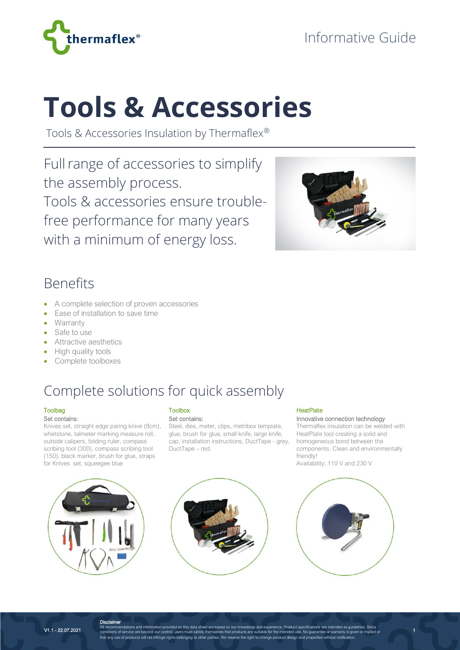

# **Tools & Accessories**

Tools & Accessories Insulation by Thermaflex®

Full range of accessories to simplify the assembly process. Tools & accessories ensure troublefree performance for many years with a minimum of energy loss.



### Benefits

- A complete selection of proven accessories
- Ease of installation to save time
- Warranty
- Safe to use
- Attractive aesthetics
- High quality tools
- Complete toolboxes

## Complete solutions for quick assembly

#### Toolbag

Set contains:

Knives set, straight edge paring knive (8cm), whetstone, talmeter marking measure roll, outside calipers, folding ruler, compass scribing tool (300), compass scribing tool (150), black marker, brush for glue, straps for Knives set, squeegee blue

#### Toolbox Set contains:

Steel, dies, meter, clips, metribox template, glue, brush for glue, small knife, large knife, cap, installation instructions, DuctTape - grey, DuctTape – red.

#### **HeatPlate**

Innovative connection technology

Thermaflex insulation can be welded with HeatPlate tool creating a solid and homogeneous bond between the components. Clean and environmentally friendly! Availability: 110 V and 230 V

1